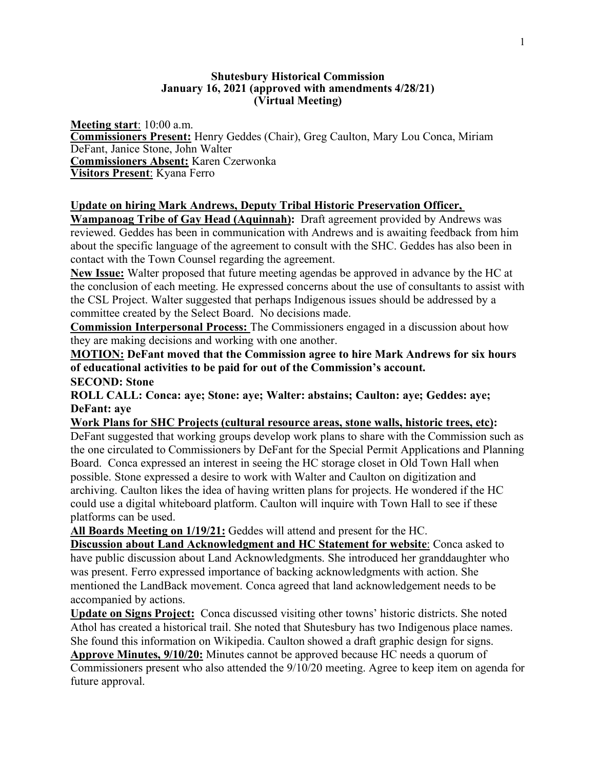## **Shutesbury Historical Commission January 16, 2021 (approved with amendments 4/28/21) (Virtual Meeting)**

**Meeting start**: 10:00 a.m. **Commissioners Present:** Henry Geddes (Chair), Greg Caulton, Mary Lou Conca, Miriam DeFant, Janice Stone, John Walter **Commissioners Absent:** Karen Czerwonka **Visitors Present**: Kyana Ferro

## **Update on hiring Mark Andrews, Deputy Tribal Historic Preservation Officer,**

**Wampanoag Tribe of Gay Head (Aquinnah):** Draft agreement provided by Andrews was reviewed. Geddes has been in communication with Andrews and is awaiting feedback from him about the specific language of the agreement to consult with the SHC. Geddes has also been in contact with the Town Counsel regarding the agreement.

**New Issue:** Walter proposed that future meeting agendas be approved in advance by the HC at the conclusion of each meeting. He expressed concerns about the use of consultants to assist with the CSL Project. Walter suggested that perhaps Indigenous issues should be addressed by a committee created by the Select Board. No decisions made.

**Commission Interpersonal Process:** The Commissioners engaged in a discussion about how they are making decisions and working with one another.

**MOTION: DeFant moved that the Commission agree to hire Mark Andrews for six hours of educational activities to be paid for out of the Commission's account. SECOND: Stone**

**ROLL CALL: Conca: aye; Stone: aye; Walter: abstains; Caulton: aye; Geddes: aye; DeFant: aye**

**Work Plans for SHC Projects (cultural resource areas, stone walls, historic trees, etc):**

DeFant suggested that working groups develop work plans to share with the Commission such as the one circulated to Commissioners by DeFant for the Special Permit Applications and Planning Board. Conca expressed an interest in seeing the HC storage closet in Old Town Hall when possible. Stone expressed a desire to work with Walter and Caulton on digitization and archiving. Caulton likes the idea of having written plans for projects. He wondered if the HC could use a digital whiteboard platform. Caulton will inquire with Town Hall to see if these platforms can be used.

**All Boards Meeting on 1/19/21:** Geddes will attend and present for the HC.

**Discussion about Land Acknowledgment and HC Statement for website**: Conca asked to have public discussion about Land Acknowledgments. She introduced her granddaughter who was present. Ferro expressed importance of backing acknowledgments with action. She mentioned the LandBack movement. Conca agreed that land acknowledgement needs to be accompanied by actions.

**Update on Signs Project:** Conca discussed visiting other towns' historic districts. She noted Athol has created a historical trail. She noted that Shutesbury has two Indigenous place names. She found this information on Wikipedia. Caulton showed a draft graphic design for signs. **Approve Minutes, 9/10/20:** Minutes cannot be approved because HC needs a quorum of

Commissioners present who also attended the 9/10/20 meeting. Agree to keep item on agenda for future approval.